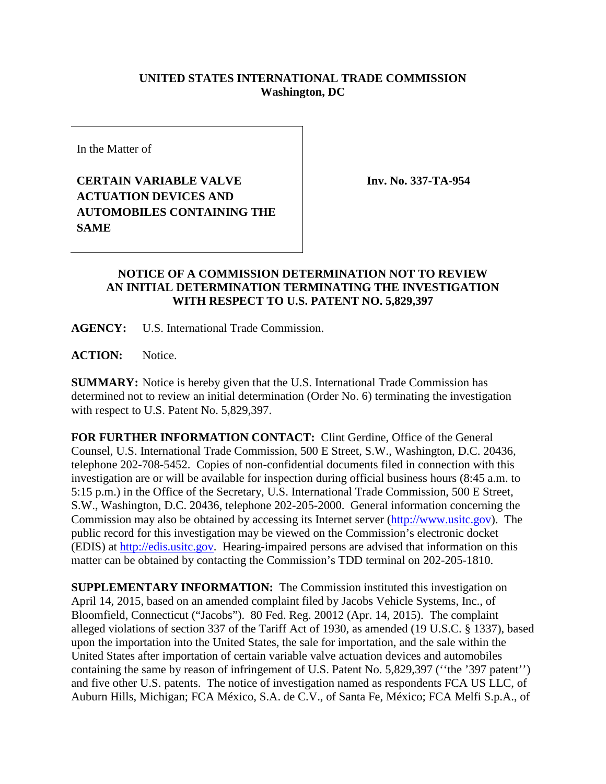## **UNITED STATES INTERNATIONAL TRADE COMMISSION Washington, DC**

In the Matter of

**CERTAIN VARIABLE VALVE ACTUATION DEVICES AND AUTOMOBILES CONTAINING THE SAME**

**Inv. No. 337-TA-954**

## **NOTICE OF A COMMISSION DETERMINATION NOT TO REVIEW AN INITIAL DETERMINATION TERMINATING THE INVESTIGATION WITH RESPECT TO U.S. PATENT NO. 5,829,397**

**AGENCY:** U.S. International Trade Commission.

**ACTION:** Notice.

**SUMMARY:** Notice is hereby given that the U.S. International Trade Commission has determined not to review an initial determination (Order No. 6) terminating the investigation with respect to U.S. Patent No. 5,829,397.

**FOR FURTHER INFORMATION CONTACT:** Clint Gerdine, Office of the General Counsel, U.S. International Trade Commission, 500 E Street, S.W., Washington, D.C. 20436, telephone 202-708-5452. Copies of non-confidential documents filed in connection with this investigation are or will be available for inspection during official business hours (8:45 a.m. to 5:15 p.m.) in the Office of the Secretary, U.S. International Trade Commission, 500 E Street, S.W., Washington, D.C. 20436, telephone 202-205-2000. General information concerning the Commission may also be obtained by accessing its Internet server [\(http://www.usitc.gov\)](http://www.usitc.gov/). The public record for this investigation may be viewed on the Commission's electronic docket (EDIS) at [http://edis.usitc.gov.](http://edis.usitc.gov/) Hearing-impaired persons are advised that information on this matter can be obtained by contacting the Commission's TDD terminal on 202-205-1810.

**SUPPLEMENTARY INFORMATION:** The Commission instituted this investigation on April 14, 2015, based on an amended complaint filed by Jacobs Vehicle Systems, Inc., of Bloomfield, Connecticut ("Jacobs"). 80 Fed. Reg. 20012 (Apr. 14, 2015). The complaint alleged violations of section 337 of the Tariff Act of 1930, as amended (19 U.S.C. § 1337), based upon the importation into the United States, the sale for importation, and the sale within the United States after importation of certain variable valve actuation devices and automobiles containing the same by reason of infringement of U.S. Patent No. 5,829,397 (''the '397 patent'') and five other U.S. patents. The notice of investigation named as respondents FCA US LLC, of Auburn Hills, Michigan; FCA México, S.A. de C.V., of Santa Fe, México; FCA Melfi S.p.A., of